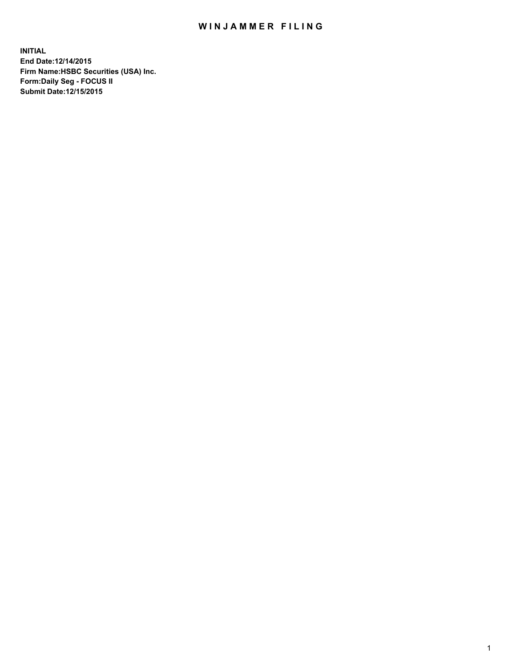## WIN JAMMER FILING

**INITIAL End Date:12/14/2015 Firm Name:HSBC Securities (USA) Inc. Form:Daily Seg - FOCUS II Submit Date:12/15/2015**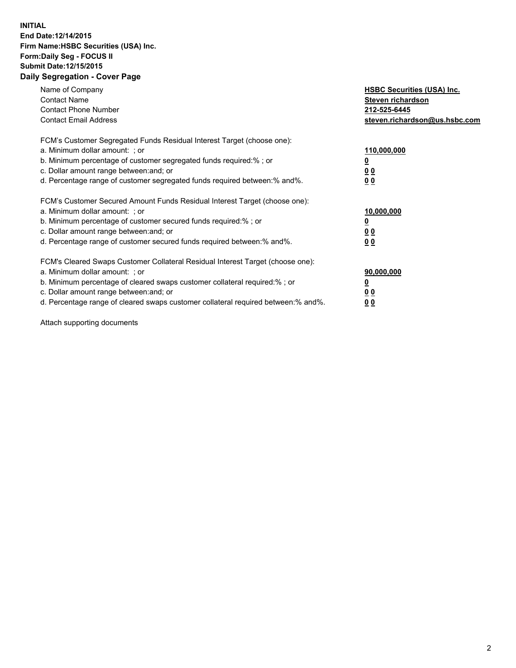## **INITIAL End Date:12/14/2015 Firm Name:HSBC Securities (USA) Inc. Form:Daily Seg - FOCUS II Submit Date:12/15/2015 Daily Segregation - Cover Page**

| Name of Company<br><b>Contact Name</b><br><b>Contact Phone Number</b><br><b>Contact Email Address</b>                                                                                                                                                                                                                          | <b>HSBC Securities (USA) Inc.</b><br>Steven richardson<br>212-525-6445<br>steven.richardson@us.hsbc.com |
|--------------------------------------------------------------------------------------------------------------------------------------------------------------------------------------------------------------------------------------------------------------------------------------------------------------------------------|---------------------------------------------------------------------------------------------------------|
| FCM's Customer Segregated Funds Residual Interest Target (choose one):<br>a. Minimum dollar amount: ; or<br>b. Minimum percentage of customer segregated funds required:% ; or<br>c. Dollar amount range between: and; or<br>d. Percentage range of customer segregated funds required between:% and%.                         | 110,000,000<br>0 <sub>0</sub><br>00                                                                     |
| FCM's Customer Secured Amount Funds Residual Interest Target (choose one):<br>a. Minimum dollar amount: ; or<br>b. Minimum percentage of customer secured funds required:%; or<br>c. Dollar amount range between: and; or<br>d. Percentage range of customer secured funds required between:% and%.                            | 10,000,000<br><u>00</u><br>00                                                                           |
| FCM's Cleared Swaps Customer Collateral Residual Interest Target (choose one):<br>a. Minimum dollar amount: ; or<br>b. Minimum percentage of cleared swaps customer collateral required:% ; or<br>c. Dollar amount range between: and; or<br>d. Percentage range of cleared swaps customer collateral required between:% and%. | 90,000,000<br><u>00</u><br>0 <sub>0</sub>                                                               |

Attach supporting documents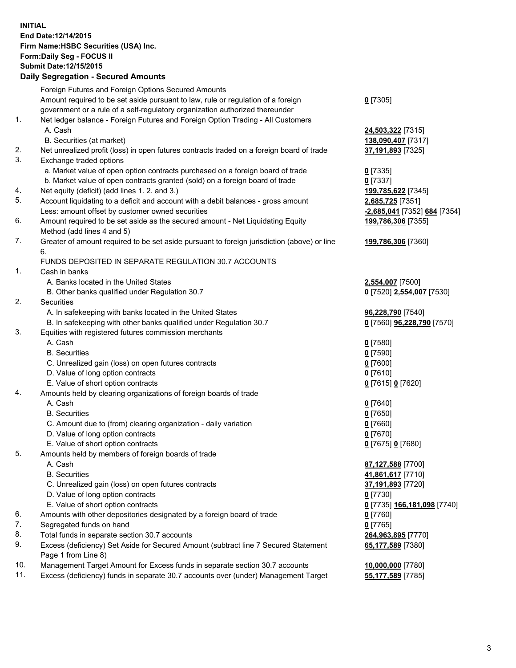**INITIAL End Date:12/14/2015 Firm Name:HSBC Securities (USA) Inc. Form:Daily Seg - FOCUS II Submit Date:12/15/2015**

## **Daily Segregation - Secured Amounts**

|     | Foreign Futures and Foreign Options Secured Amounts                                                          |                              |
|-----|--------------------------------------------------------------------------------------------------------------|------------------------------|
|     | Amount required to be set aside pursuant to law, rule or regulation of a foreign                             | $0$ [7305]                   |
|     | government or a rule of a self-regulatory organization authorized thereunder                                 |                              |
| 1.  | Net ledger balance - Foreign Futures and Foreign Option Trading - All Customers                              |                              |
|     | A. Cash                                                                                                      | 24,503,322 [7315]            |
|     | B. Securities (at market)                                                                                    | 138,090,407 [7317]           |
| 2.  | Net unrealized profit (loss) in open futures contracts traded on a foreign board of trade                    | 37,191,893 [7325]            |
| 3.  | Exchange traded options                                                                                      |                              |
|     | a. Market value of open option contracts purchased on a foreign board of trade                               | $0$ [7335]                   |
|     | b. Market value of open contracts granted (sold) on a foreign board of trade                                 | $0$ [7337]                   |
| 4.  | Net equity (deficit) (add lines 1.2. and 3.)                                                                 | 199,785,622 [7345]           |
| 5.  | Account liquidating to a deficit and account with a debit balances - gross amount                            | 2,685,725 [7351]             |
|     | Less: amount offset by customer owned securities                                                             | -2,685,041 [7352] 684 [7354] |
| 6.  | Amount required to be set aside as the secured amount - Net Liquidating Equity<br>Method (add lines 4 and 5) | 199,786,306 [7355]           |
| 7.  | Greater of amount required to be set aside pursuant to foreign jurisdiction (above) or line                  | 199,786,306 [7360]           |
|     | 6.                                                                                                           |                              |
|     | FUNDS DEPOSITED IN SEPARATE REGULATION 30.7 ACCOUNTS                                                         |                              |
| 1.  | Cash in banks                                                                                                |                              |
|     | A. Banks located in the United States                                                                        | 2,554,007 [7500]             |
|     | B. Other banks qualified under Regulation 30.7                                                               | 0 [7520] 2,554,007 [7530]    |
| 2.  | Securities                                                                                                   |                              |
|     | A. In safekeeping with banks located in the United States                                                    | 96,228,790 [7540]            |
|     | B. In safekeeping with other banks qualified under Regulation 30.7                                           | 0 [7560] 96,228,790 [7570]   |
| 3.  | Equities with registered futures commission merchants                                                        |                              |
|     | A. Cash                                                                                                      | $0$ [7580]                   |
|     | <b>B.</b> Securities                                                                                         | $0$ [7590]                   |
|     | C. Unrealized gain (loss) on open futures contracts                                                          | $0$ [7600]                   |
|     | D. Value of long option contracts                                                                            | $0$ [7610]                   |
|     | E. Value of short option contracts                                                                           | 0 [7615] 0 [7620]            |
| 4.  | Amounts held by clearing organizations of foreign boards of trade                                            |                              |
|     | A. Cash                                                                                                      | $0$ [7640]                   |
|     | <b>B.</b> Securities                                                                                         | $0$ [7650]                   |
|     | C. Amount due to (from) clearing organization - daily variation                                              | $0$ [7660]                   |
|     | D. Value of long option contracts                                                                            | $0$ [7670]                   |
|     | E. Value of short option contracts                                                                           | 0 [7675] 0 [7680]            |
| 5.  | Amounts held by members of foreign boards of trade                                                           |                              |
|     | A. Cash                                                                                                      | 87,127,588 [7700]            |
|     | <b>B.</b> Securities                                                                                         | 41,861,617 [7710]            |
|     | C. Unrealized gain (loss) on open futures contracts                                                          | 37,191,893 [7720]            |
|     | D. Value of long option contracts                                                                            | $0$ [7730]                   |
|     | E. Value of short option contracts                                                                           | 0 [7735] 166,181,098 [7740]  |
| 6.  | Amounts with other depositories designated by a foreign board of trade                                       | 0 [7760]                     |
| 7.  | Segregated funds on hand                                                                                     | $0$ [7765]                   |
| 8.  | Total funds in separate section 30.7 accounts                                                                | 264,963,895 [7770]           |
| 9.  | Excess (deficiency) Set Aside for Secured Amount (subtract line 7 Secured Statement<br>Page 1 from Line 8)   | 65,177,589 [7380]            |
| 10. | Management Target Amount for Excess funds in separate section 30.7 accounts                                  | 10,000,000 [7780]            |
| 11. | Excess (deficiency) funds in separate 30.7 accounts over (under) Management Target                           | 55,177,589 [7785]            |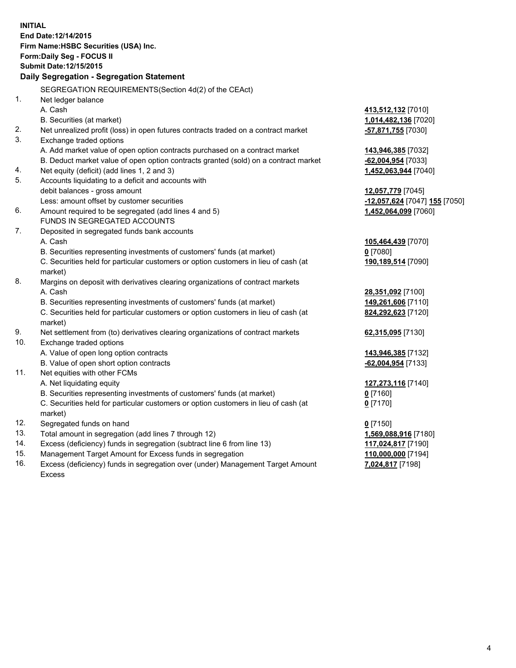**INITIAL End Date:12/14/2015 Firm Name:HSBC Securities (USA) Inc. Form:Daily Seg - FOCUS II Submit Date:12/15/2015 Daily Segregation - Segregation Statement** SEGREGATION REQUIREMENTS(Section 4d(2) of the CEAct) 1. Net ledger balance A. Cash **413,512,132** [7010] B. Securities (at market) **1,014,482,136** [7020] 2. Net unrealized profit (loss) in open futures contracts traded on a contract market **-57,871,755** [7030] 3. Exchange traded options A. Add market value of open option contracts purchased on a contract market **143,946,385** [7032] B. Deduct market value of open option contracts granted (sold) on a contract market **-62,004,954** [7033] 4. Net equity (deficit) (add lines 1, 2 and 3) **1,452,063,944** [7040] 5. Accounts liquidating to a deficit and accounts with debit balances - gross amount **12,057,779** [7045] Less: amount offset by customer securities **-12,057,624** [7047] **155** [7050] 6. Amount required to be segregated (add lines 4 and 5) **1,452,064,099** [7060] FUNDS IN SEGREGATED ACCOUNTS 7. Deposited in segregated funds bank accounts A. Cash **105,464,439** [7070] B. Securities representing investments of customers' funds (at market) **0** [7080] C. Securities held for particular customers or option customers in lieu of cash (at market) **190,189,514** [7090] 8. Margins on deposit with derivatives clearing organizations of contract markets A. Cash **28,351,092** [7100] B. Securities representing investments of customers' funds (at market) **149,261,606** [7110] C. Securities held for particular customers or option customers in lieu of cash (at market) **824,292,623** [7120] 9. Net settlement from (to) derivatives clearing organizations of contract markets **62,315,095** [7130] 10. Exchange traded options A. Value of open long option contracts **143,946,385** [7132] B. Value of open short option contracts **-62,004,954** [7133] 11. Net equities with other FCMs A. Net liquidating equity **127,273,116** [7140] B. Securities representing investments of customers' funds (at market) **0** [7160] C. Securities held for particular customers or option customers in lieu of cash (at market) **0** [7170] 12. Segregated funds on hand **0** [7150] 13. Total amount in segregation (add lines 7 through 12) **1,569,088,916** [7180] 14. Excess (deficiency) funds in segregation (subtract line 6 from line 13) **117,024,817** [7190] 15. Management Target Amount for Excess funds in segregation **110,000,000** [7194]

16. Excess (deficiency) funds in segregation over (under) Management Target Amount Excess

**7,024,817** [7198]